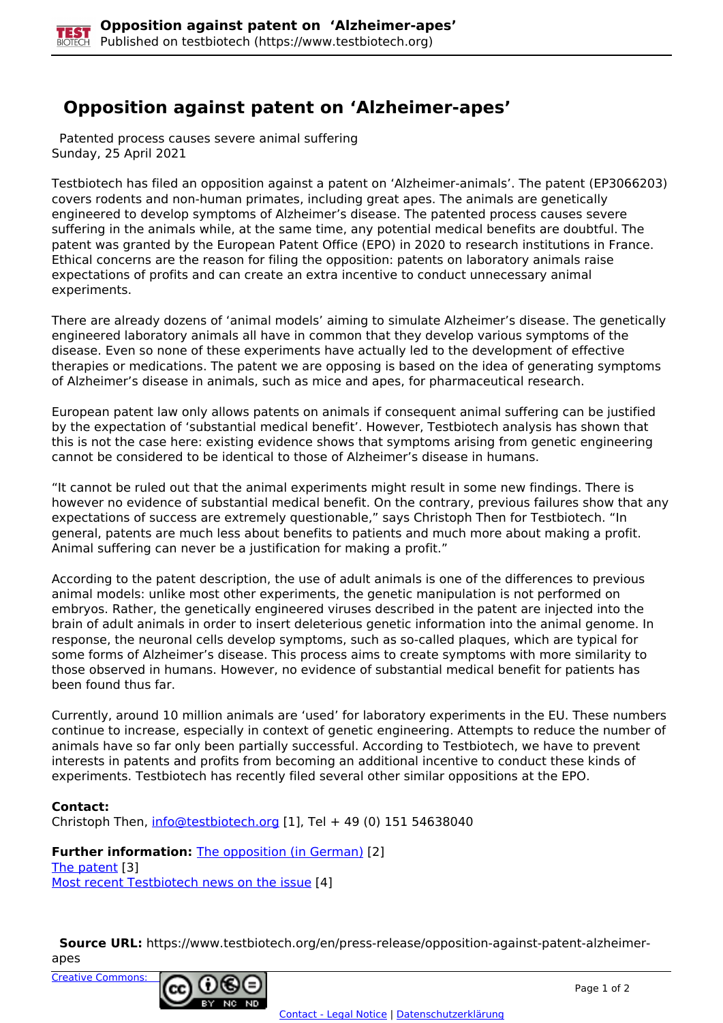## **Opposition against patent on 'Alzheimer-apes'**

 Patented process causes severe animal suffering Sunday, 25 April 2021

Testbiotech has filed an opposition against a patent on 'Alzheimer-animals'. The patent (EP3066203) covers rodents and non-human primates, including great apes. The animals are genetically engineered to develop symptoms of Alzheimer's disease. The patented process causes severe suffering in the animals while, at the same time, any potential medical benefits are doubtful. The patent was granted by the European Patent Office (EPO) in 2020 to research institutions in France. Ethical concerns are the reason for filing the opposition: patents on laboratory animals raise expectations of profits and can create an extra incentive to conduct unnecessary animal experiments.

There are already dozens of 'animal models' aiming to simulate Alzheimer's disease. The genetically engineered laboratory animals all have in common that they develop various symptoms of the disease. Even so none of these experiments have actually led to the development of effective therapies or medications. The patent we are opposing is based on the idea of generating symptoms of Alzheimer's disease in animals, such as mice and apes, for pharmaceutical research.

European patent law only allows patents on animals if consequent animal suffering can be justified by the expectation of 'substantial medical benefit'. However, Testbiotech analysis has shown that this is not the case here: existing evidence shows that symptoms arising from genetic engineering cannot be considered to be identical to those of Alzheimer's disease in humans.

"It cannot be ruled out that the animal experiments might result in some new findings. There is however no evidence of substantial medical benefit. On the contrary, previous failures show that any expectations of success are extremely questionable," says Christoph Then for Testbiotech. "In general, patents are much less about benefits to patients and much more about making a profit. Animal suffering can never be a justification for making a profit."

According to the patent description, the use of adult animals is one of the differences to previous animal models: unlike most other experiments, the genetic manipulation is not performed on embryos. Rather, the genetically engineered viruses described in the patent are injected into the brain of adult animals in order to insert deleterious genetic information into the animal genome. In response, the neuronal cells develop symptoms, such as so-called plaques, which are typical for some forms of Alzheimer's disease. This process aims to create symptoms with more similarity to those observed in humans. However, no evidence of substantial medical benefit for patients has been found thus far.

Currently, around 10 million animals are 'used' for laboratory experiments in the EU. These numbers continue to increase, especially in context of genetic engineering. Attempts to reduce the number of animals have so far only been partially successful. According to Testbiotech, we have to prevent interests in patents and profits from becoming an additional incentive to conduct these kinds of experiments. Testbiotech has recently filed several other similar oppositions at the EPO.

## **Contact:**

Christoph Then, [info@testbiotech.org](mailto:info@testbiotech.org) [1], Tel + 49 (0) 151 54638040

**Further information: The opposition (in German) [2]** The patent [3] Most recent Testbiotech news on the issue [4]

 **Source URL:** https://www.testbiotech.org/en/press-release/opposition-against-patent-alzheimerapes